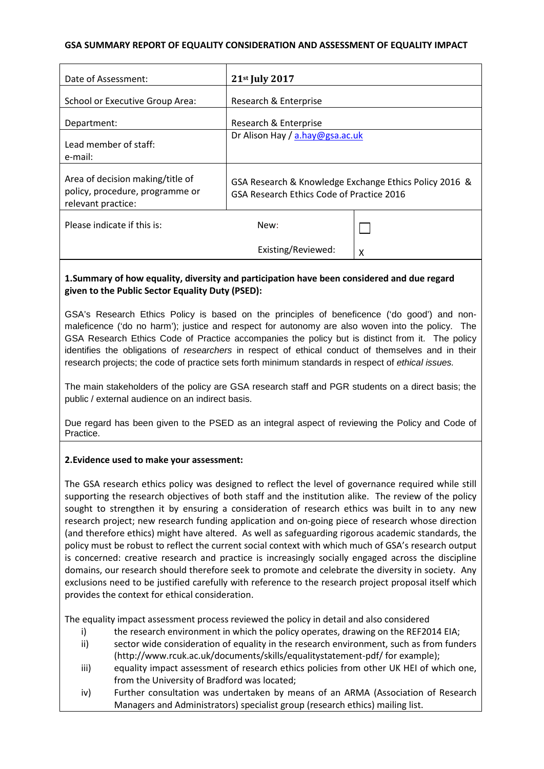## **GSA SUMMARY REPORT OF EQUALITY CONSIDERATION AND ASSESSMENT OF EQUALITY IMPACT**

| Date of Assessment:                                                                       | 21st July 2017                                                                                      |   |
|-------------------------------------------------------------------------------------------|-----------------------------------------------------------------------------------------------------|---|
| School or Executive Group Area:                                                           | Research & Enterprise                                                                               |   |
| Department:                                                                               | Research & Enterprise                                                                               |   |
| Lead member of staff:<br>e-mail:                                                          | Dr Alison Hay / a.hay@gsa.ac.uk                                                                     |   |
| Area of decision making/title of<br>policy, procedure, programme or<br>relevant practice: | GSA Research & Knowledge Exchange Ethics Policy 2016 &<br>GSA Research Ethics Code of Practice 2016 |   |
| Please indicate if this is:                                                               | New:                                                                                                |   |
|                                                                                           | Existing/Reviewed:                                                                                  | χ |

# **1.Summary of how equality, diversity and participation have been considered and due regard given to the Public Sector Equality Duty (PSED):**

GSA's Research Ethics Policy is based on the principles of beneficence ('do good') and nonmaleficence ('do no harm'); justice and respect for autonomy are also woven into the policy. The GSA Research Ethics Code of Practice accompanies the policy but is distinct from it. The policy identifies the obligations of *researchers* in respect of ethical conduct of themselves and in their research projects; the code of practice sets forth minimum standards in respect of *ethical issues.*

The main stakeholders of the policy are GSA research staff and PGR students on a direct basis; the public / external audience on an indirect basis.

Due regard has been given to the PSED as an integral aspect of reviewing the Policy and Code of Practice.

## **2.Evidence used to make your assessment:**

The GSA research ethics policy was designed to reflect the level of governance required while still supporting the research objectives of both staff and the institution alike. The review of the policy sought to strengthen it by ensuring a consideration of research ethics was built in to any new research project; new research funding application and on-going piece of research whose direction (and therefore ethics) might have altered. As well as safeguarding rigorous academic standards, the policy must be robust to reflect the current social context with which much of GSA's research output is concerned: creative research and practice is increasingly socially engaged across the discipline domains, our research should therefore seek to promote and celebrate the diversity in society. Any exclusions need to be justified carefully with reference to the research project proposal itself which provides the context for ethical consideration.

The equality impact assessment process reviewed the policy in detail and also considered

- i) the research environment in which the policy operates, drawing on the REF2014 EIA;
- ii) sector wide consideration of equality in the research environment, such as from funders (http://www.rcuk.ac.uk/documents/skills/equalitystatement-pdf/ for example);
- iii) equality impact assessment of research ethics policies from other UK HEI of which one, from the University of Bradford was located;
- iv) Further consultation was undertaken by means of an ARMA (Association of Research Managers and Administrators) specialist group (research ethics) mailing list.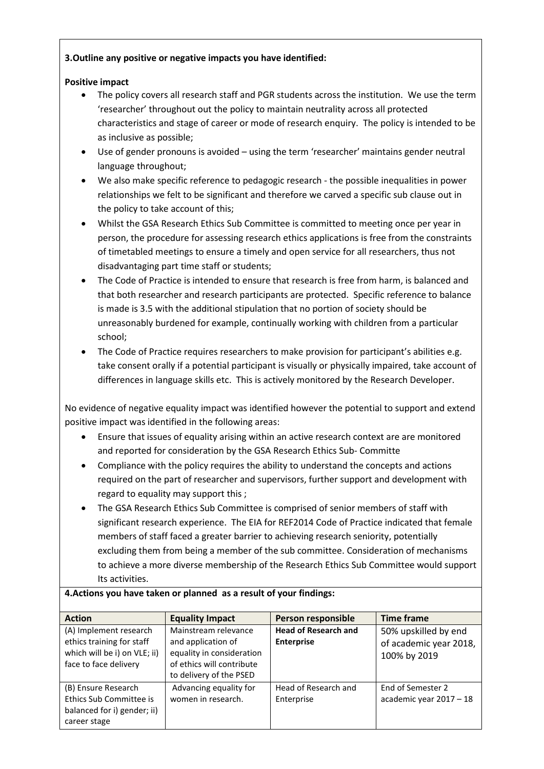# **3.Outline any positive or negative impacts you have identified:**

# **Positive impact**

- The policy covers all research staff and PGR students across the institution. We use the term 'researcher' throughout out the policy to maintain neutrality across all protected characteristics and stage of career or mode of research enquiry. The policy is intended to be as inclusive as possible;
- Use of gender pronouns is avoided using the term 'researcher' maintains gender neutral language throughout;
- We also make specific reference to pedagogic research the possible inequalities in power relationships we felt to be significant and therefore we carved a specific sub clause out in the policy to take account of this;
- Whilst the GSA Research Ethics Sub Committee is committed to meeting once per year in person, the procedure for assessing research ethics applications is free from the constraints of timetabled meetings to ensure a timely and open service for all researchers, thus not disadvantaging part time staff or students;
- The Code of Practice is intended to ensure that research is free from harm, is balanced and that both researcher and research participants are protected. Specific reference to balance is made is 3.5 with the additional stipulation that no portion of society should be unreasonably burdened for example, continually working with children from a particular school;
- The Code of Practice requires researchers to make provision for participant's abilities e.g. take consent orally if a potential participant is visually or physically impaired, take account of differences in language skills etc. This is actively monitored by the Research Developer.

No evidence of negative equality impact was identified however the potential to support and extend positive impact was identified in the following areas:

- Ensure that issues of equality arising within an active research context are are monitored and reported for consideration by the GSA Research Ethics Sub- Committe
- Compliance with the policy requires the ability to understand the concepts and actions required on the part of researcher and supervisors, further support and development with regard to equality may support this ;
- The GSA Research Ethics Sub Committee is comprised of senior members of staff with significant research experience. The EIA for REF2014 Code of Practice indicated that female members of staff faced a greater barrier to achieving research seniority, potentially excluding them from being a member of the sub committee. Consideration of mechanisms to achieve a more diverse membership of the Research Ethics Sub Committee would support Its activities.

| <b>Action</b>                                                                                                | <b>Equality Impact</b>                                                                                                          | Person responsible                               | <b>Time frame</b>                                              |
|--------------------------------------------------------------------------------------------------------------|---------------------------------------------------------------------------------------------------------------------------------|--------------------------------------------------|----------------------------------------------------------------|
| (A) Implement research<br>ethics training for staff<br>which will be i) on VLE; ii)<br>face to face delivery | Mainstream relevance<br>and application of<br>equality in consideration<br>of ethics will contribute<br>to delivery of the PSED | <b>Head of Research and</b><br><b>Enterprise</b> | 50% upskilled by end<br>of academic year 2018,<br>100% by 2019 |
| (B) Ensure Research<br>Ethics Sub Committee is<br>balanced for i) gender; ii)<br>career stage                | Advancing equality for<br>women in research.                                                                                    | Head of Research and<br>Enterprise               | End of Semester 2<br>academic year 2017 - 18                   |

# **4.Actions you have taken or planned as a result of your findings:**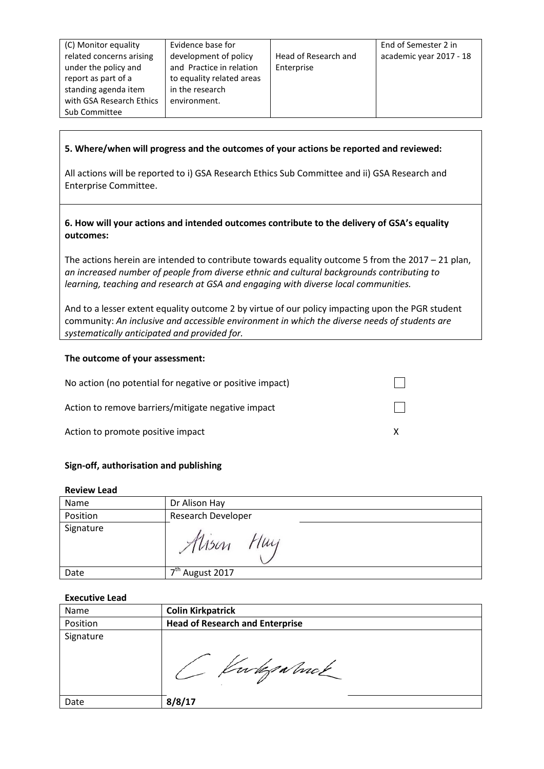| (C) Monitor equality     | Evidence base for         |                      | End of Semester 2 in    |
|--------------------------|---------------------------|----------------------|-------------------------|
| related concerns arising | development of policy     | Head of Research and | academic year 2017 - 18 |
| under the policy and     | and Practice in relation  | Enterprise           |                         |
| report as part of a      | to equality related areas |                      |                         |
| standing agenda item     | in the research           |                      |                         |
| with GSA Research Ethics | environment.              |                      |                         |
| Sub Committee            |                           |                      |                         |

## **5. Where/when will progress and the outcomes of your actions be reported and reviewed:**

All actions will be reported to i) GSA Research Ethics Sub Committee and ii) GSA Research and Enterprise Committee.

**6. How will your actions and intended outcomes contribute to the delivery of GSA's equality outcomes:**

The actions herein are intended to contribute towards equality outcome 5 from the 2017 – 21 plan, *an increased number of people from diverse ethnic and cultural backgrounds contributing to learning, teaching and research at GSA and engaging with diverse local communities.*

And to a lesser extent equality outcome 2 by virtue of our policy impacting upon the PGR student community: *An inclusive and accessible environment in which the diverse needs of students are systematically anticipated and provided for.*

#### **The outcome of your assessment:**

| No action (no potential for negative or positive impact) |  |
|----------------------------------------------------------|--|
| Action to remove barriers/mitigate negative impact       |  |
| Action to promote positive impact                        |  |

## **Sign-off, authorisation and publishing**

#### **Review Lead**

| Name      | Dr Alison Hay               |
|-----------|-----------------------------|
| Position  | Research Developer          |
| Signature | 1<br>$\mathcal{A}$ lson     |
| Date      | 7 <sup>th</sup> August 2017 |
|           |                             |

#### **Executive Lead**

| <b>Name</b> | <b>Colin Kirkpatrick</b>               |
|-------------|----------------------------------------|
| Position    | <b>Head of Research and Enterprise</b> |
| Signature   | Gwleg Nuck                             |
| Date        | 8/8/17                                 |